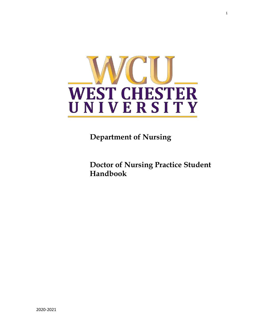

**Department of Nursing**

**Doctor of Nursing Practice Student Handbook**

1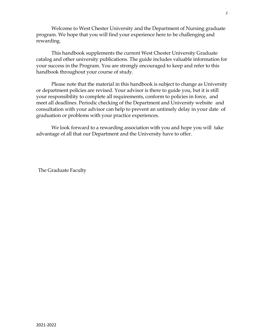Welcome to West Chester University and the Department of Nursing graduate program. We hope that you will find your experience here to be challenging and rewarding.

This handbook supplements the current West Chester University Graduate catalog and other university publications. The guide includes valuable information for your success in the Program. You are strongly encouraged to keep and refer to this handbook throughout your course of study.

Please note that the material in this handbook is subject to change as University or department policies are revised. Your advisor is there to guide you, but it is still your responsibility to complete all requirements, conform to policies in force, and meet all deadlines. Periodic checking of the Department and University website and consultation with your advisor can help to prevent an untimely delay in your date of graduation or problems with your practice experiences.

We look forward to a rewarding association with you and hope you will take advantage of all that our Department and the University have to offer.

The Graduate Faculty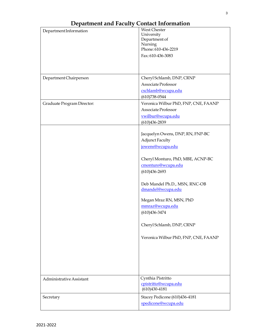|                            | West Chester                            |  |
|----------------------------|-----------------------------------------|--|
| Department Information     | University                              |  |
|                            | Department of                           |  |
|                            | Nursing                                 |  |
|                            | Phone: 610-436-2219                     |  |
|                            | Fax: 610-436-3083                       |  |
|                            |                                         |  |
|                            |                                         |  |
|                            |                                         |  |
| Department Chairperson     | Cheryl Schlamb, DNP, CRNP               |  |
|                            | Associate Professor                     |  |
|                            | cschlamb@wcupa.edu                      |  |
|                            | $(610)738 - 0544$                       |  |
| Graduate Program Director: | Veronica Wilbur PhD, FNP, CNE, FAANP    |  |
|                            | Associate Professor                     |  |
|                            | vwilbur@wcupa.edu                       |  |
|                            | $(610)436 - 2839$                       |  |
|                            |                                         |  |
|                            | Jacquelyn Owens, DNP, RN, FNP-BC        |  |
|                            | <b>Adjunct Faculty</b>                  |  |
|                            | jowens@wcupa.edu                        |  |
|                            |                                         |  |
|                            | Cheryl Monturo, PhD, MBE, ACNP-BC       |  |
|                            | cmonturo@wcupa.edu                      |  |
|                            | $(610)436 - 2693$                       |  |
|                            |                                         |  |
|                            | Deb Mandel Ph.D., MSN, RNC-OB           |  |
|                            | dmandel@wcupa.edu                       |  |
|                            |                                         |  |
|                            | Megan Mraz RN, MSN, PhD                 |  |
|                            | mmraz@wcupa.edu                         |  |
|                            | $(610)436 - 3474$                       |  |
|                            |                                         |  |
|                            | Cheryl Schlamb, DNP, CRNP               |  |
|                            |                                         |  |
|                            | Veronica Wilbur PhD, FNP, CNE, FAANP    |  |
|                            |                                         |  |
|                            |                                         |  |
|                            |                                         |  |
|                            |                                         |  |
|                            |                                         |  |
|                            |                                         |  |
| Administrative Assistant   | Cynthia Pistritto                       |  |
|                            | cpistritto@wcupa.edu<br>$(610)430-4181$ |  |
|                            |                                         |  |
| Secretary                  | Stacey Pedicone (610)436-4181           |  |
|                            | spedicone@wcupa.edu                     |  |
|                            |                                         |  |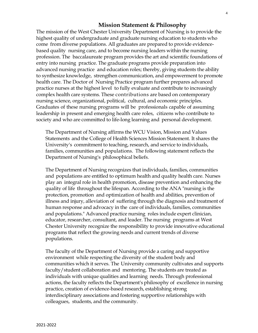#### **Mission Statement & Philosophy**

The mission of the West Chester University Department of Nursing is to provide the highest quality of undergraduate and graduate nursing education to students who come from diverse populations. All graduates are prepared to provide evidencebased quality nursing care, and to become nursing leaders within the nursing profession. The baccalaureate program provides the art and scientific foundations of entry into nursing practice. The graduate programs provide preparation into advanced nursing practice and education roles; thereby, giving students the ability to synthesize knowledge, strengthen communication, and empowerment to promote health care. The Doctor of Nursing Practice program further prepares advanced practice nurses at the highest level to fully evaluate and contribute to increasingly complex health care systems. These contributions are based on contemporary nursing science, organizational, political, cultural, and economic principles. Graduates of these nursing programs will be professionals capable of assuming leadership in present and emerging health care roles, citizens who contribute to society and who are committed to life-long learning and personal development.

The Department of Nursing affirms the WCU Vision, Mission and Values Statements and the College of Health Sciences Mission Statement. It shares the University's commitment to teaching, research, and service to individuals, families, communities and populations. The following statement reflects the Department of Nursing's philosophical beliefs.

The Department of Nursing recognizes that individuals, families, communities and populations are entitled to optimum health and quality health care. Nurses play an integral role in health promotion, disease prevention and enhancing the quality of life throughout the lifespan. According to the ANA "nursing is the protection, promotion and optimization of health and abilities, prevention of illness and injury, alleviation of suffering through the diagnosis and treatment of human response and advocacy in the care of individuals, families, communities and populations." Advanced practice nursing roles include expert clinician, educator, researcher, consultant, and leader. The nursing programs at West Chester University recognize the responsibility to provide innovative educational programs that reflect the growing needs and current trends of diverse populations.

The faculty of the Department of Nursing provide a caring and supportive environment while respecting the diversity of the student body and communities which it serves. The University community cultivates and supports faculty/student collaboration and mentoring. The students are treated as individuals with unique qualities and learning needs. Through professional actions, the faculty reflects the Department's philosophy of excellence in nursing practice, creation of evidence-based research, establishing strong interdisciplinary associations and fostering supportive relationships with colleagues, students, and the community.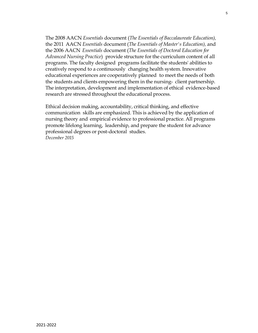The 2008 AACN *Essentials* document (*The Essentials of Baccalaureate Education),* the 2011 AACN *Essentials* document (*The Essentials of Master's Education),* and the 2006 AACN *Essentials* document (*The Essentials of Doctoral Education for Advanced Nursing Practice*) provide structure forthe curriculum content of all programs. The faculty designed programs facilitate the students' abilities to creatively respond to a continuously changing health system. Innovative educational experiences are cooperatively planned to meet the needs of both the students and clients empowering them in the nursing- client partnership. The interpretation, development and implementation of ethical evidence-based research are stressed throughout the educational process.

Ethical decision making, accountability, critical thinking, and effective communication skills are emphasized. This is achieved by the application of nursing theory and empirical evidence to professional practice. All programs promote lifelong learning, leadership, and prepare the student for advance professional degrees or post-doctoral studies. *December 2015*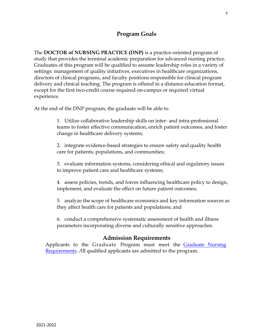# **Program Goals**

The **DOCTOR of NURSING PRACTICE (DNP)** is a practice-oriented program of study that provides the terminal academic preparation for advanced nursing practice. Graduates of this program will be qualified to assume leadership roles in a variety of settings: management of quality initiatives, executives in healthcare organizations, directors of clinical programs, and faculty positions responsible for clinical program delivery and clinical teaching. The program is offered in a distance-education format, except for the first two-credit course required on-campus or required virtual experience.

At the end of the DNP program, the graduate will be able to

1. Utilize collaborative leadership skills on inter- and intra-professional teams to foster effective communication, enrich patient outcomes, and foster change in healthcare delivery systems;

2. integrate evidence-based strategies to ensure safety and quality health care for patients, populations, and communities;

3. evaluate information systems, considering ethical and regulatory issues to improve patient care and healthcare systems;

4. assess policies, trends, and forces influencing healthcare policy to design, implement, and evaluate the effect on future patient outcomes;

5. analyze the scope of healthcare economics and key information sources as they affect health care for patients and populations; and

6. conduct a comprehensive systematic assessment of health and illness parameters incorporating diverse and culturally sensitive approaches.

### **Admission Requirements**

Applicants to the Graduate Program must meet the [Graduate Nursing](https://www.wcupa.edu/healthSciences/nursing/graduate.aspx#MSN)  [Requirements.](https://www.wcupa.edu/healthSciences/nursing/graduate.aspx#MSN) *A*ll qualified applicants are admitted to the program.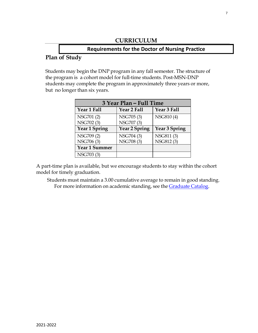#### **CURRICULUM**

# **Requirements for the Doctor of Nursing Practice Plan of Study**

# Students may begin the DNP program in any fall semester. The structure of

the program is a cohort model for full-time students. Post-MSN-DNP students may complete the program in approximately three years or more, but no longer than six years.

| 3 Year Plan – Full Time |                      |               |  |
|-------------------------|----------------------|---------------|--|
| Year 1 Fall             | Year 2 Fall          | Year 3 Fall   |  |
| NSG701(2)               | NSG705 (3)           | NSG810(4)     |  |
| NSG702 (3)              | NSG707 (3)           |               |  |
| Year 1 Spring           | <b>Year 2 Spring</b> | Year 3 Spring |  |
| NSG709(2)               | NSG704 (3)           | NSG811(3)     |  |
| NSG706 (3)              | NSG708 (3)           | NSG812(3)     |  |
| <b>Year 1 Summer</b>    |                      |               |  |
| NSG703 (3)              |                      |               |  |

A part-time plan is available, but we encourage students to stay within the cohort model for timely graduation.

Students must maintain a 3.00 cumulative average to remain in good standing. For more information on academic standing, see the [Graduate](https://catalog.wcupa.edu/graduate/academic-policies-procedures/academic-standing/) Catalog.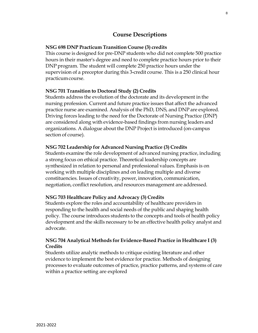## **Course Descriptions**

#### **NSG 698 DNP Practicum Transition Course (3) credits**

This course is designed for pre-DNP students who did not complete 500 practice hours in their master's degree and need to complete practice hours prior to their DNP program. The student will complete 250 practice hours under the supervision of a preceptor during this 3-credit course. This is a 250 clinical hour practicumcourse.

#### **NSG 701 Transition to Doctoral Study (2) Credits**

Students address the evolution of the doctorate and its development in the nursing profession. Current and future practice issues that affect the advanced practice nurse are examined. Analysis of the PhD, DNS, and DNP are explored. Driving forces leading to the need for the Doctorate of Nursing Practice (DNP) are considered along with evidence-based findings from nursing leaders and organizations. A dialogue about the DNP Project is introduced (on-campus section of course).

#### **NSG 702 Leadership for Advanced Nursing Practice (3) Credits**

Students examine the role development of advanced nursing practice, including a strong focus on ethical practice. Theoretical leadership concepts are synthesized in relation to personal and professional values. Emphasis is on working with multiple disciplines and on leading multiple and diverse constituencies. Issues of creativity, power, innovation, communication, negotiation, conflict resolution, and resources management are addressed.

#### **NSG 703 Healthcare Policy and Advocacy (3) Credits**

Students explore the roles and accountability of healthcare providers in responding to the health and social needs of the public and shaping health policy. The course introduces students to the concepts and tools of health policy development and the skills necessary to be an effective health policy analyst and advocate.

#### **NSG 704 Analytical Methods for Evidence-Based Practice in Healthcare I (3) Credits**

Students utilize analytic methods to critique existing literature and other evidence to implement the best evidence for practice. Methods of designing processes to evaluate outcomes of practice, practice patterns, and systems of care within a practice setting are explored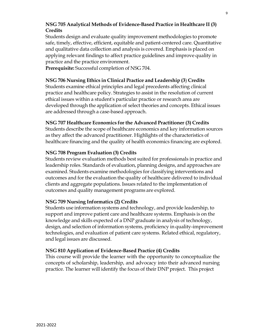#### **NSG 705 Analytical Methods of Evidence-Based Practice in Healthcare II (3) Credits**

Students design and evaluate quality improvement methodologies to promote safe, timely, effective, efficient, equitable and patient-centered care. Quantitative and qualitative data collection and analysis is covered. Emphasis is placed on applying relevant findings to affect practice guidelines and improve quality in practice and the practice environment.

**Prerequisite:** Successful completion of NSG 704.

#### **NSG 706 Nursing Ethics in Clinical Practice and Leadership (3**) **Credits**

Students examine ethical principles and legal precedents affecting clinical practice and healthcare policy. Strategies to assist in the resolution of current ethical issues within a student's particular practice or research area are developed through the application of select theories and concepts. Ethical issues are addressed through a case-based approach.

#### **NSG 707 Healthcare Economics for the Advanced Practitioner (3) Credits**

Students describe the scope of healthcare economics and key information sources as they affect the advanced practitioner. Highlights of the characteristics of healthcare financing and the quality of health economics financing are explored.

#### **NSG 708 Program Evaluation (3) Credits**

Students review evaluation methods best suited for professionals in practice and leadership roles. Standards of evaluation, planning designs, and approaches are examined. Students examine methodologies for classifying interventions and outcomes and for the evaluation the quality of healthcare delivered to individual clients and aggregate populations. Issues related to the implementation of outcomes and quality management programs are explored.

#### **NSG 709 Nursing Informatics (2) Credits**

Students use information systems and technology, and provide leadership, to support and improve patient care and healthcare systems. Emphasis is on the knowledge and skills expected of a DNP graduate in analysis of technology, design, and selection of information systems, proficiency in quality-improvement technologies, and evaluation of patient care systems. Related ethical, regulatory, and legal issues are discussed.

### **NSG 810 Application of Evidence-Based Practice (4) Credits**

This course will provide the learner with the opportunity to conceptualize the concepts of scholarship, leadership, and advocacy into their advanced nursing practice. The learner will identify the focus of their DNP project. This project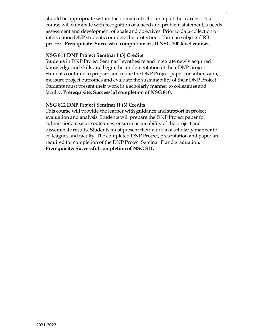should be appropriate within the domain of scholarship of the learner. This course will culminate with recognition of a need and problem statement, a needs assessment and development of goals and objectives. Prior to data collection or intervention DNP students complete the protection of human subjects/IRB process. **Prerequisite: Successful completion of all NSG 700 level courses.**

#### **NSG 811 DNP Project Seminar I (3) Credits**

Students in DNP Project Seminar I synthesize and integrate newly acquired knowledge and skills and begin the implementation of their DNP project. Students continue to prepare and refine the DNP Project paper for submission, measure project outcomes and evaluate the sustainability of their DNP Project. Students must present their work in a scholarly manner to colleagues and faculty. **Prerequisite: Successful completion of NSG 810.**

#### **NSG 812 DNP Project Seminar II (3) Credits**

This course will provide the learner with guidance and support in project evaluation and analysis. Students will prepare the DNP Project paper for submission, measure outcomes, ensure sustainability of the project and disseminate results. Students must present their work in a scholarly manner to colleagues and faculty. The completed DNP Project, presentation and paper are required for completion of the DNP Project Seminar II and graduation. **Prerequisite: Successful completion of NSG 811.**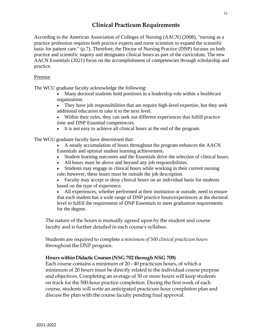# **Clinical Practicum Requirements**

According to the American Association of Colleges of Nursing (AACN) (2008), "nursing as a practice profession requires both practice experts and nurse scientists to expand the scientific basis for patient care." (p.7). Therefore, the Doctor of Nursing Practice (DNP) focuses on both practice and scientific inquiry and designates clinical hours as part of the curriculum. The new AACN Essentials (2021) focus on the accomplishment of competencies through scholarship and practice.

#### Premise

The WCU graduate faculty acknowledge the following:

- Many doctoral students hold positions in a leadership role within a healthcare organization.
- They have job responsibilities that are require high-level expertise, but they seek additional education to take it to the next level.
- Within their roles, they can seek out different experiences that fulfill practice time and DNP Essential competencies.
- It is not easy to achieve all clinical hours at the end of the program.

The WCU graduate faculty have determined that:

- A steady accumulation of hours throughout the program enhances the AACN Essentials and optimal student learning achievement.
- Student learning outcomes and the Essentials drive the selection of clinical hours.
- All hours must be above and beyond any job responsibilities.
- Students may engage in clinical hours while working in their current nursing role; however, these hours must be outside the job description.
- Faculty may accept or deny clinical hours on an individual basis for students based on the type of experience.
- All experiences, whether performed at their institution or outside, need to ensure that each student has a wide range of DNP practice hours/experiences at the doctoral level to fulfill the requirement of DNP Essentials to meet graduation requirements for the degree.

The nature of the hours is mutually agreed upon by the student and course faculty and is further detailed in each course's syllabus.

Students are required to complete *a minimum of 500 clinical practicum hours* throughout the DNP program.

#### **Hours within Didactic Courses (NSG 702 through NSG 709)**

Each course contains a minimum of 20 - 40 practicum hours, of which a minimum of 20 hours must be directly related to the individual course purpose and objectives. Completing an average of 30 or more hours will keep students on track for the 500-hour practice completion. During the first week of each course, students will write an anticipated practicum hour completion plan and discuss the plan with the course faculty pending final approval.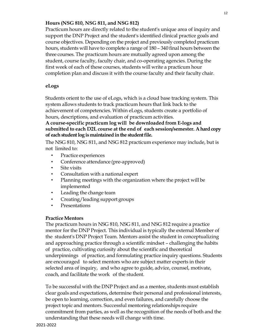#### **Hours (NSG 810, NSG 811, and NSG 812)**

Practicum hours are directly related to the student's unique area of inquiry and support the DNP Project and the student's identified clinical practice goals and course objectives. Depending on the project and previously completed practicum hours, students will have to complete a range of 180 – 340 final hours between the three courses. The practicum hours are mutually agreed upon among the student, course faculty, faculty chair, and co-operating agencies. During the first week of each of these courses, students will write a practicum hour completion plan and discuss it with the course faculty and their faculty chair.

#### **eLogs**

Students orient to the use of eLogs, which is a cloud base tracking system. This system allows students to track practicum hours that link back to the achievement of competencies. Within eLogs, students create a portfolio of hours, descriptions, and evaluation of practicum activities.

#### **A course-specific practicum log will be downloaded from E-logs and submitted to each D2L course at the end of each session/semester. A hard copy of each student log is maintainedin the student file.**

The NSG 810, NSG 811, and NSG 812 practicum experience may include, but is not limited to:

- Practice experiences
- Conference attendance (pre-approved)
- Site visits
- Consultation with a national expert
- Planning meetings with the organization where the project will be implemented
- Leading the change team
- Creating/leading support groups
- **Presentations**

#### **PracticeMentors**

The practicum hours in NSG 810, NSG 811, and NSG 812 require a practice mentor for the DNP Project. This individual is typically the external Member of the student's DNP Project Team. Mentors assist the student in conceptualizing and approaching practice through a scientific mindset – challenging the habits of practice, cultivating curiosity about the scientific and theoretical underpinnings of practice, and formulating practice inquiry questions. Students are encouraged to select mentors who are subject matter experts in their selected area of inquiry, and who agree to guide, advice, counsel, motivate, coach, and facilitate the work of the student.

To be successful with the DNP Project and as a mentee, students must establish clear goals and expectations, determine their personal and professional interests, be open to learning, correction, and even failures, and carefully choose the project topic and mentors. Successful mentoring relationships require commitment from parties, as well as the recognition of the needs of both and the understanding that these needs will change with time.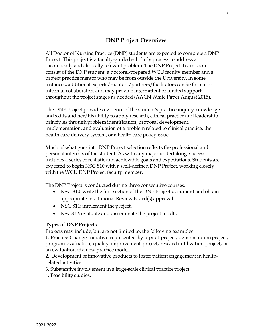# **DNP Project Overview**

All Doctor of Nursing Practice (DNP) students are expected to complete a DNP Project. This project is a faculty-guided scholarly process to address a theoretically and clinically relevant problem. The DNP Project Team should consist of the DNP student, a doctoral-prepared WCU faculty member and a project practice mentor who may be from outside the University. In some instances, additional experts/mentors/partners/facilitators can be formal or informal collaborators and may provide intermittent or limited support throughout the project stages as needed (AACN White Paper August 2015).

The DNP Project provides evidence of the student's practice inquiry knowledge and skills and her/his ability to apply research, clinical practice and leadership principles through problem identification, proposal development, implementation, and evaluation of a problem related to clinical practice, the health care delivery system, or a health care policy issue.

Much of what goes into DNP Project selection reflects the professional and personal interests of the student. As with any major undertaking, success includes a series of realistic and achievable goals and expectations. Students are expected to begin NSG 810 with a well-defined DNP Project, working closely with the WCU DNP Project faculty member.

The DNP Project is conducted during three consecutive courses.

- NSG 810: write the first section of the DNP Project document and obtain appropriate Institutional Review Board(s) approval.
- NSG 811: implement the project.
- NSG812: evaluate and disseminate the project results.

#### **Types of DNP Projects**

Projects may include, but are not limited to, the following examples.

1. Practice Change Initiative represented by a pilot project, demonstration project, program evaluation, quality improvement project, research utilization project, or an evaluation of a new practice model.

2. Development of innovative products to foster patient engagement in healthrelated activities.

3. Substantive involvement in a large-scale clinical practice project.

4. Feasibility studies.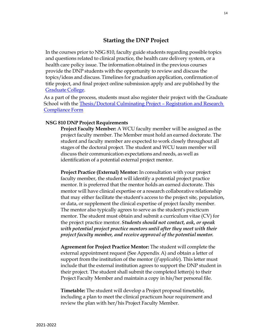### **Starting the DNP Project**

In the courses prior to NSG 810, faculty guide students regarding possible topics and questions related to clinical practice, the health care delivery system, or a health care policy issue. The information obtained in the previous courses provide the DNP students with the opportunity to review and discuss the topics/ideas and discuss. Timelines for graduation application, confirmation of title project, and final project online submission apply and are published by the [Graduate](https://wcupa.edu/_admissions/SCH_DGR/thesis.aspx) College.

As a part of the process, students must also register their project with the Graduate School with the Thesis/Doctoral [Culminating Project](https://www.wcupa.edu/_admissions/SCH_DGR/thesis.aspx) – Registration and Research [Compliance](https://www.wcupa.edu/_admissions/SCH_DGR/thesis.aspx) Form

#### **NSG 810 DNP Project Requirements**

**Project Faculty Member:** A WCU faculty member will be assigned as the project faculty member. The Member must hold an earned doctorate. The student and faculty member are expected to work closely throughout all stages of the doctoral project. The student and WCU team member will discuss their communication expectations and needs, as well as identification of a potential external project mentor.

**Project Practice (External) Mentor:** In consultation with your project faculty member, the student will identify a potential project practice mentor. It is preferred that the mentor holds an earned doctorate. This mentor will have clinical expertise or a research collaborative relationship that may either facilitate the student's access to the project site, population, or data, or supplement the clinical expertise of project faculty member. The mentor also typically agrees to serve as the student's practicum mentor. The student must obtain and submit a curriculum vitae (CV) for the project practice mentor. *Students should not contact, ask, or speak with potential project practice mentors until after they meet with their project faculty member, and receive approval of the potential mentor.*

**Agreement for Project Practice Mentor:** The student will complete the external appointment request (See Appendix A) and obtain a letter of support from the institution of the mentor (*if applicable*). This letter must include that the external institution agrees to support the DNP student in their project. The student shall submit the completed letter(s) to their Project Faculty Member and maintain a copy in his/her personal file.

**Timetable:** The student will develop a Project proposal timetable, including a plan to meet the clinical practicum hour requirement and review the plan with her/his Project Faculty Member.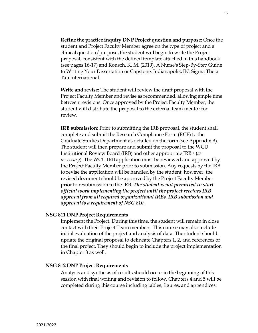**Refine the practice inquiry DNP Project question and purpose:** Once the student and Project Faculty Member agree on the type of project and a clinical question/purpose, the student will begin to write the Project proposal, consistent with the defined template attached in this handbook (see pages 16-17) and Rousch, K. M. (2019), A Nurse's Step-By-Step Guide to Writing Your Dissertation or Capstone. Indianapolis, IN: Sigma Theta

**Write and revise:** The student will review the draft proposal with the Project Faculty Member and revise as recommended, allowing ample time between revisions. Once approved by the Project Faculty Member, the student will distribute the proposal to the external team mentor for review.

**IRB submission**: Prior to submitting the IRB proposal, the student shall complete and submit the Research Compliance Form (RCF) to the Graduate Studies Department as detailed on the form (see Appendix B). The student will then prepare and submit the proposal to the WCU Institutional Review Board (IRB) and other appropriate IRB's (*as necessary*). The WCU IRB application must be reviewed and approved by the Project Faculty Member prior to submission. Any requests by the IRB to revise the application will be handled by the student; however, the revised document should be approved by the Project Faculty Member prior to resubmission to the IRB. *The student is not permitted to start official work implementing the project untilthe project receives IRB approval from all required organizational IRBs. IRB submission and approval is a requirement of NSG 810.*

#### **NSG 811 DNP Project Requirements**

Tau International.

Implement the Project. During this time, the student will remain in close contact with their Project Team members. This course may also include initial evaluation of the project and analysis of data. The student should update the original proposal to delineate Chapters 1, 2, and references of the final project. They should begin to include the project implementation in Chapter 3 as well.

#### **NSG 812 DNP Project Requirements**

Analysis and synthesis of results should occur in the beginning of this session with final writing and revision to follow. Chapters 4 and 5 will be completed during this course including tables, figures, and appendices.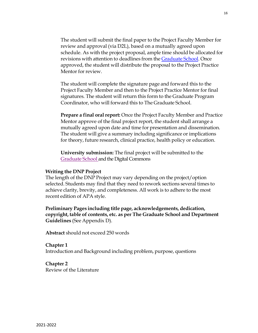The student will submit the final paper to the Project Faculty Member for review and approval (via D2L), based on a mutually agreed upon schedule. As with the project proposal, ample time should be allocated for revisions with attention to deadlines from the [Graduate](https://www.wcupa.edu/_admissions/SCH_DGR/thesis.aspx) School. Once approved, the student will distribute the proposal to the Project Practice Mentor for review.

The student will complete the signature page and forward this to the Project Faculty Member and then to the Project Practice Mentor for final signatures. The student will return this form to the Graduate Program Coordinator, who will forward this to The Graduate School.

**Prepare a final oral report:** Once the Project Faculty Member and Practice Mentor approve of the final project report, the student shall arrange a mutually agreed upon date and time for presentation and dissemination. The student will give a summary including significance or implications for theory, future research, clinical practice, health policy or education.

**University submission:** The final project will be submitted to the Graduate School and the Digital Commons

#### **Writing the DNP Project**

The length of the DNP Project may vary depending on the project/option selected. Students may find that they need to rework sections several times to achieve clarity, brevity, and completeness. All work is to adhere to the most recent edition of APA style.

**Preliminary Pages including title page, acknowledgements, dedication, copyright, table of contents, etc. as per The Graduate School and Department Guidelines** (See Appendix D).

**Abstract** should not exceed 250 words

**Chapter 1** Introduction and Background including problem, purpose, questions

**Chapter 2** Review of the Literature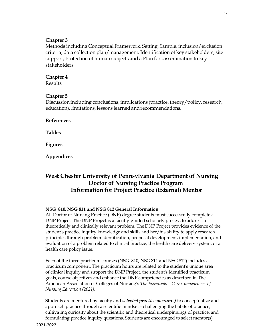#### **Chapter 3**

Methods including Conceptual Framework, Setting, Sample, inclusion/exclusion criteria, data collection plan/management, Identification of key stakeholders, site support, Protection of human subjects and a Plan for dissemination to key stakeholders.

#### **Chapter 4**

Results

#### **Chapter 5**

Discussion including conclusions, implications (practice, theory/policy, research, education), limitations, lessons learned and recommendations.

**References**

**Tables**

**Figures**

**Appendices**

## **West Chester University of Pennsylvania Department of Nursing Doctor of Nursing Practice Program Information for Project Practice (External) Mentor**

#### **NSG 810, NSG 811 and NSG 812 General Information**

All Doctor of Nursing Practice (DNP) degree students must successfully complete a DNP Project. The DNP Project is a faculty-guided scholarly process to address a theoretically and clinically relevant problem. The DNP Project provides evidence of the student's practice inquiry knowledge and skills and her/his ability to apply research principles through problem identification, proposal development, implementation, and evaluation of a problem related to clinical practice, the health care delivery system, or a health care policy issue.

Each of the three practicum courses (NSG 810, NSG 811 and NSG 812) includes a practicum component. The practicum hours are related to the student's unique area of clinical inquiry and support the DNP Project, the student's identified practicum goals, course objectives and enhance the DNP competencies as described in The American Association of Colleges of Nursing's *The Essentials – Core Competencies of Nursing Education (2021).*

Students are mentored by faculty and *selected practice mentor(s)* to conceptualize and approach practice through a scientific mindset – challenging the habits of practice, cultivating curiosity about the scientific and theoretical underpinnings of practice, and formulating practice inquiry questions. Students are encouraged to select mentor(s)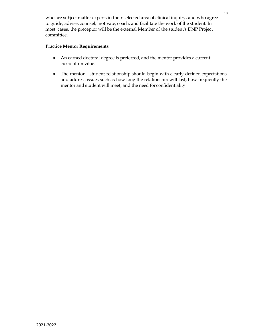who are subject matter experts in their selected area of clinical inquiry, and who agree to guide, advise, counsel, motivate, coach, and facilitate the work of the student. In most cases, the preceptor will be the external Member of the student's DNP Project committee.

#### **Practice Mentor Requirements**

- An earned doctoral degree is preferred, and the mentor provides a current curriculum vitae.
- The mentor student relationship should begin with clearly defined expectations and address issues such as how long the relationship will last, how frequently the mentor and student will meet, and the need forconfidentiality.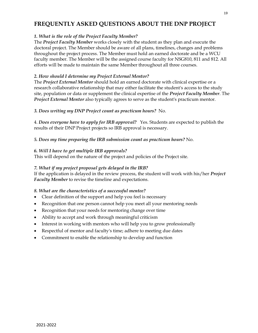# **FREQUENTLY ASKED QUESTIONS ABOUT THE DNP PROJECT**

#### *1. What is the role of the Project Faculty Member?*

The *Project Faculty Member* works closely with the student as they plan and execute the doctoral project. The Member should be aware of all plans, timelines, changes and problems throughout the project process. The Member must hold an earned doctorate and be a WCU faculty member. The Member will be the assigned course faculty for NSG810, 811 and 812. All efforts will be made to maintain the same Member throughout all three courses.

#### *2. How should I determine my Project External Mentor?*

The *Project External Mentor* should hold an earned doctorate with clinical expertise or a research collaborative relationship that may either facilitate the student's access to the study site, population or data or supplement the clinical expertise of the *Project Faculty Member*. The *Project External Mentor* also typically agrees to serve as the student's practicum mentor.

#### *3. Does writing my DNP Project count as practicum hours?* No.

4. *Does everyone have to apply for IRB approval?* Yes. Students are expected to publish the results of their DNP Project projects so IRB approval is necessary.

#### *5. Does my time preparing the IRB submission count as practicum hours?* No.

#### *6. Will I have to get multiple IRB approvals?*

This will depend on the nature of the project and policies of the Project site.

#### *7. What if my project proposal gets delayed in the IRB?*

If the application is delayed in the review process, the student will work with his/her *Project Faculty Member* to revise the timeline and expectations.

#### *8. What are the characteristics of a successful mentee?*

- Clear definition of the support and help you feel is necessary
- Recognition that one person cannot help you meet all your mentoring needs
- Recognition that your needs for mentoring change over time
- Ability to accept and work through meaningful criticism
- Interest in working with mentors who will help you to grow professionally
- Respectful of mentor and faculty's time; adhere to meeting due dates
- Commitment to enable the relationship to develop and function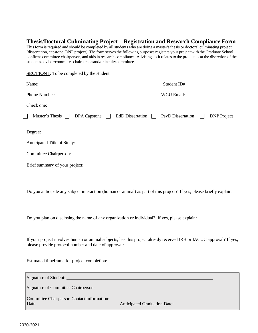### **Thesis/Doctoral Culminating Project – Registration and Research Compliance Form**

This form is required and should be completed by all students who are doing a master's thesis or doctoral culminating project (dissertation, capstone, DNP project). The form serves the following purposes registers your project with the Graduate School, confirms committee chairperson, and aids in research compliance. Advising, as it relates to the project, is at the discretion of the student's advisor/committee chairperson and/or faculty committee.

| $\mathbf{r}$                                                                                              |                                                                    |
|-----------------------------------------------------------------------------------------------------------|--------------------------------------------------------------------|
| Name:                                                                                                     | Student ID#                                                        |
| Phone Number:                                                                                             | <b>WCU Email:</b>                                                  |
| Check one:                                                                                                |                                                                    |
| Master's Thesis [<br><b>DPA</b> Capstone                                                                  | <b>DNP</b> Project<br><b>EdD</b> Dissertation<br>PsyD Dissertation |
| Degree:<br>Anticipated Title of Study:<br><b>Committee Chairperson:</b><br>Brief summary of your project: |                                                                    |
|                                                                                                           |                                                                    |

Do you anticipate any subject interaction (human or animal) as part of this project? If yes, please briefly explain:

Do you plan on disclosing the name of any organization or individual? If yes, please explain:

If your project involves human or animal subjects, has this project already received IRB or IACUC approval? If yes, please provide protocol number and date of approval:

Estimated timeframe for project completion:

**SECTION I**: To be completed by the student

Signature of Student: Signature of Committee Chairperson: Committee Chairperson Contact Information: Date: Anticipated Graduation Date: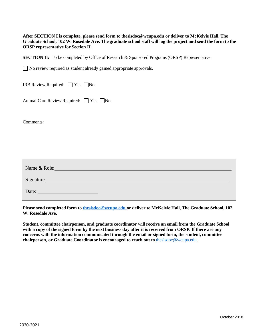**After SECTION I is complete, please send form to** [t](mailto:thesisdoc@wcupa.edu)**[hesisdoc@wcupa.edu](mailto:thesisdoc@wcupa.edu) or deliver to McKelvie Hall, The** Graduate School, 102 W. Rosedale Ave. The graduate school staff will log the project and send the form to the **ORSP representative for Section II.**

**SECTION II:** To be completed by Office of Research & Sponsored Programs (ORSP) Representative

No review required as student already gained appropriate approvals.

**IRB Review Required:**  $\Box$  Yes  $\Box$  No

Animal Care Review Required:  $\Box$  Yes  $\Box$  No

Comments:

| Name & Role: |  |
|--------------|--|
| Signature    |  |
| Date:        |  |

**Please send completed form to [thesisdoc@wcupa.edu](mailto:gradstudy@wcupa.edu) or deliver to McKelvie Hall, The Graduate School, 102 W. Rosedale Ave.**

**Student, committee chairperson, and graduate coordinator will receive an email from the Graduate School** with a copy of the signed form by the next business day after it is received from ORSP. If there are any **concerns with the information communicated through the email or signed form, the student, committee chairperson, or Graduate Coordinator is encouraged to reach out to** [thesisdoc@wcupa.edu](mailto:thesisdoc@wcupa.edu)**.**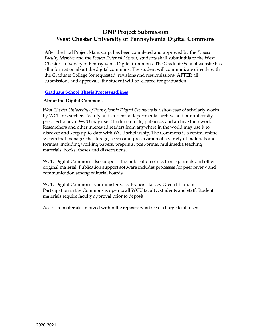# **DNP Project Submission West Chester University of Pennsylvania Digital Commons**

After the final Project Manuscript has been completed and approved by the *Project Faculty Member* and the *Project External Mentor*, students shall submit this to the West Chester University of Pennsylvania Digital Commons. The Graduate School website has all information about the digital commons. The student will communicate directly with the Graduate College for requested revisions and resubmissions. **AFTER** all submissions and approvals, the student will be cleared for graduation.

#### **Graduate School Thesis Processeadlines**

#### **About the Digital Commons**

*West Chester University of Pennsylvania Digital Commons* is a showcase of scholarly works by WCU researchers, faculty and student, a departmental archive and our university press. Scholars at WCU may use it to disseminate, publicize, and archive their work. Researchers and other interested readers from anywhere in the world may use it to discover and keep up-to-date with WCU scholarship. The Commons is a central online system that manages the storage, access and preservation of a variety of materials and formats, including working papers, preprints, post-prints, multimedia teaching materials, books, theses and dissertations.

WCU Digital Commons also supports the publication of electronic journals and other original material. Publication support software includes processes for peer review and communication among editorial boards.

WCU Digital Commons is administered by Francis Harvey Green librarians. Participation in the Commons is open to all WCU faculty, students and staff. Student materials require faculty approval prior to deposit.

Access to materials archived within the repository is free of charge to all users.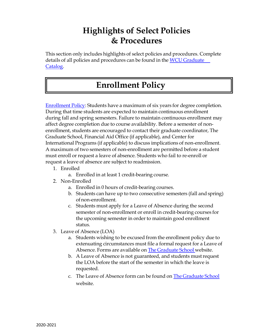# **Highlights of Select Policies & Procedures**

This section only includes highlights of select policies and procedures. Complete details of all policies and procedures can be found in the WCU [Graduate](https://catalog.wcupa.edu/graduate/) [Catalog.](https://catalog.wcupa.edu/graduate/)

# **Enrollment Policy**

[Enrollment](https://catalog.wcupa.edu/graduate/academic-policies-procedures/academic-standing/) Policy: Students have a maximum of six years for degree completion. During that time students are expected to maintain continuous enrollment during fall and spring semesters. Failure to maintain continuous enrollment may affect degree completion due to course availability. Before a semester of nonenrollment, students are encouraged to contact their graduate coordinator, The Graduate School, Financial Aid Office (if applicable), and Center for International Programs (if applicable) to discuss implications of non-enrollment. A maximum of two semesters of non-enrollment are permitted before a student must enroll or request a leave of absence. Students who fail to re-enroll or request a leave of absence are subject to readmission.

- 1. Enrolled
	- a. Enrolled in at least 1 credit-bearing course.
- 2. Non-Enrolled
	- a. Enrolled in 0 hours of credit-bearing courses.
	- b. Students can have up to two consecutive semesters (fall and spring) ofnon-enrollment.
	- c. Students must apply for a Leave of Absence during the second semester of non-enrollment or enroll in credit-bearing courses for the upcoming semester in order to maintain good enrollment status.
- 3. Leave of Absence (LOA)
	- a. Students wishing to be excused from the enrollment policy due to extenuating circumstances must file a formal request for a Leave of Absence. Forms are available on The [Graduate](http://www.wcupa.edu/grad) School website.
	- b. A Leave of Absence is not guaranteed, and students mustrequest the LOA before the start of the semester in which the leave is requested.
	- c. The Leave of Absence form can be found on The [Graduate](https://www.wcupa.edu/_admissions/sch_dgr/) School website.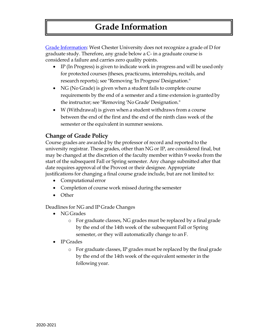# **Grade Information**

Grade [Information:](https://catalog.wcupa.edu/graduate/academic-policies-procedures/grade-) West Chester University does not recognize a grade of D for graduate study. Therefore, any grade below a C- in a graduate course is considered a failure and carries zero quality points.

- IP (In Progress) is given to indicate work in progress and will be used only for protected courses (theses, practicums, internships, recitals, and research reports); see "Removing 'In Progress' Designation."
- NG (No Grade) is given when a student fails to complete course requirements by the end of a semester and a time extension is grantedby the instructor; see "Removing 'No Grade' Designation."
- W (Withdrawal) is given when a student withdraws from a course between the end of the first and the end of the ninth class week of the semester or the equivalent in summer sessions.

# **Change of Grade Policy**

Course grades are awarded by the professor of record and reported to the university registrar. These grades, other than NG or IP, are considered final, but may be changed at the discretion of the faculty member within 9 weeks from the start of the subsequent Fall or Spring semester. Any change submitted after that date requires approval of the Provost or their designee. Appropriate justifications for changing a final course grade include, but are not limited to:

- Computational error
- Completion of course work missed during the semester
- Other

Deadlines for NG and IP Grade Changes

- NG Grades
	- o For graduate classes, NG grades must be replaced by a final grade by the end of the 14th week of the subsequent Fall or Spring semester, or they will automatically change to an F.
- IP Grades
	- o For graduate classes, IP grades must be replaced by the final grade by the end of the 14th week of the equivalent semester in the following year.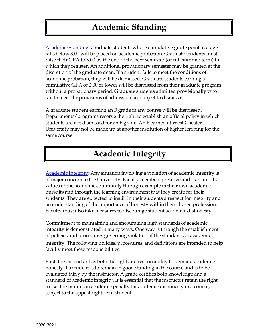[Academic](https://catalog.wcupa.edu/graduate/academic-policies-procedures/academic-standing/) Standing: Graduate students whose cumulative grade point average falls below 3.00 will be placed on academic probation. Graduate students must raise their GPA to 3.00 by the end of the next semester (or full summer term) in which they register. An additional probationary semester may be granted at the discretion of the graduate dean. If a student fails to meet the conditions of academic probation, they will be dismissed. Graduate students earning a cumulative GPA of 2.00 or lower will be dismissed from their graduate program without a probationary period. Graduate students admitted provisionally who fail to meet the provisions of admission are subject to dismissal.

A graduate student earning an F grade in any course will be dismissed. Departments/programs reserve the right to establish an official policy in which students are not dismissed for an F grade. An F earned at West Chester University may not be made up at another institution of higher learning for the same course.

# **Academic Integrity**

[Academic](https://catalog.wcupa.edu/graduate/academic-policies-procedures/academic-standing/) Integrity: Any situation involving a violation of academic integrity is of major concern to the University. Faculty members preserve and transmit the values of the academic community through example in their own academic pursuits and through the learning environment that they create for their students. They are expected to instill in their students a respect for integrity and an understanding of the importance of honesty within their chosen profession. Faculty must also take measures to discourage student academic dishonesty.

Commitment to maintaining and encouraging high standards of academic integrity is demonstrated in many ways. One way is through the establishment of policies and procedures governing violation of the standards of academic integrity. The following policies, procedures, and definitions are intended to help faculty meet these responsibilities.

First, the instructor has both the right and responsibility to demand academic honesty if a student is to remain in good standing in the course and is to be evaluated fairly by the instructor. A grade certifies both knowledge and a standard of academic integrity. It is essential that the instructor retain the right to set the minimum academic penalty for academic dishonesty in a course, subject to the appeal rights of a student.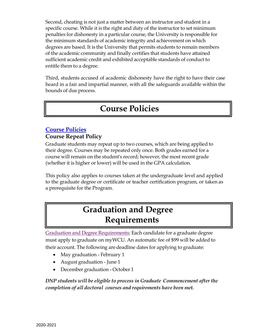Second, cheating is not just a matter between an instructor and student in a specific course. While it is the right and duty of the instructor to set minimum penalties for dishonesty in a particular course, the University is responsible for the minimum standards of academic integrity and achievement on which degrees are based. It is the University that permits students to remain members of the academic community and finally certifies that students have attained sufficient academic credit and exhibited acceptable standards of conduct to entitle them to a degree.

Third, students accused of academic dishonesty have the right to have their case heard in a fair and impartial manner, with all the safeguards available within the bounds of due process.

# **Course Policies**

# **[Course Policies](https://catalog.wcupa.edu/graduate/academic-policies-procedures/academic-standing/)**

# **Course Repeat Policy**

Graduate students may repeat up to two courses, which are being applied to their degree. Courses may be repeated only once. Both grades earned for a course will remain on the student's record; however, the most recent grade (whether it is higher or lower) will be used in the GPA calculation.

This policy also applies to courses taken at the undergraduate level and applied to the graduate degree or certificate or teacher certification program, or taken as a prerequisite for the Program.

# **Graduation and Degree Requirements**

Graduation and Degree [Requirements:](https://catalog.wcupa.edu/graduate/academic-policies-procedures/graduation-degree-requirements/) Each candidate for a graduate degree must apply to graduate on myWCU. An automatic fee of \$99 will be added to their account. The following aredeadline dates for applying to graduate:

- May graduation February 1
- August graduation June 1
- December graduation October 1

*DNP students will be eligible to process in Graduate Commencement after the completion of all doctoral courses and requirements have been met.*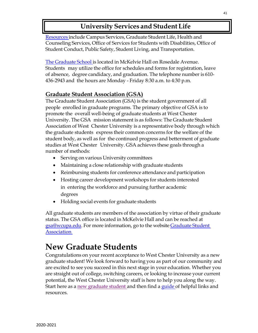# **University Services and StudentLife**

[Resources](https://catalog.wcupa.edu/graduate/university-services-%20student-life/) include Campus Services, Graduate Student Life, Health and Counseling Services, Office of Services for Students with Disabilities, Office of Student Conduct, Public Safety, Student Living, and Transportation.

The [Graduate](https://www.wcupa.edu/_admissions/sch_dgr/gsa/) School is located in McKelvie Hall on Rosedale Avenue. Students may utilize the office for schedules and forms for registration, leave of absence, degree candidacy, and graduation. The telephone number is 610- 436-2943 and the hours are Monday - Friday 8:30 a.m. to 4:30 p.m.

# **Graduate Student Association (GSA)**

The Graduate Student Association (GSA) is the student government of all people enrolled in graduate programs. The primary objective of GSA is to promote the overall well-being of graduate students at West Chester University. The GSA mission statement is as follows: The Graduate Student Association of West Chester University is a representative body through which the graduate students express their common concerns for the welfare of the student body, as well as for the continued progress and betterment of graduate studies at West Chester University. GSA achieves these goals through a number of methods:

- Serving on various University committees
- Maintaining a close relationship with graduate students
- Reimbursing students for conference attendance and participation
- Hosting career development workshops for students interested in entering the workforce and pursuing further academic degrees
- Holding social events for graduate students

All graduate students are members of the association by virtue of their graduate status. The GSA office is located in McKelvie Hall and can be reached at [gsa@wcupa.edu.](mailto:gsa@wcupa.edu) For more information, go to the websit[e Graduate](https://www.wcupa.edu/_admissions/sch_dgr/gsa/) Student [Association](https://www.wcupa.edu/_admissions/sch_dgr/gsa/)

# **New Graduate Students**

Congratulations on your recent acceptance to West Chester University as a new graduate student! We look forward to having you as part of our community and are excited to see you succeed in this next stage in your education. Whether you are straight out of college, switching careers, or looking to increase your current potential, the West Chester University staff is here to help you along the way. Start here as a new [graduate](https://wcupa.edu/_admissions/SCH_DGR/newGradStudents.aspx) student and then find a [guide o](https://wcupa.edu/_admissions/SCH_DGR/documents/GraduateStudentResources_DRAFT1.pdf)f helpful links and resources.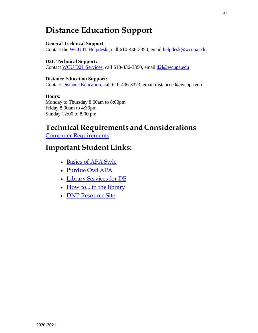# **Distance Education Support**

#### **General Technical Support**:

Contact the WCU IT [Helpdesk](https://wcupa.edu/infoservices/)[,](https://wcupa.edu/infoservices/) call 610-436-3350, email [helpdesk@wcupa.edu](mailto:helpdesk@wcupa.edu)

#### **D2L Technical Support:** Contact [WCU D2L](https://wcupa.edu/infoservices/d2lServices/) Services, call 610-436-3350, email [d2l@wcupa.edu](mailto:d2l@wcupa.edu)

#### **Distance Education Support:**

Contact Distance [Education,](https://www.wcupa.edu/distanceed/) call 610-436-3373, email [distanceed@wcupa.edu](mailto:distanceed@wcupa.edu)

#### **Hours:**

Monday to Thursday 8:00am to 8:00pm Friday 8:00am to 4:30pm Sunday 12:00 to 8:00 pm

# **Technical Requirements and Considerations**

Computer [Requirements](https://www.wcupa.edu/infoServices/distanceEd/techRequirements.aspx)

# **Important Student Links:**

- [Basics](https://apastyle.apa.org/learn/tutorials/basics-tutorial) of APA Style
- [Purdue](https://owl.purdue.edu/owl/research_and_citation/apa_style/apa_formatting_and_style_guide/general_format.html) Owl APA
- Library [Services](https://library.wcupa.edu/friendly.php?s=distance) for DE
- How to... in the library
- DNP [Resource](https://d2l.wcupa.edu/d2l/home/1961774) Site